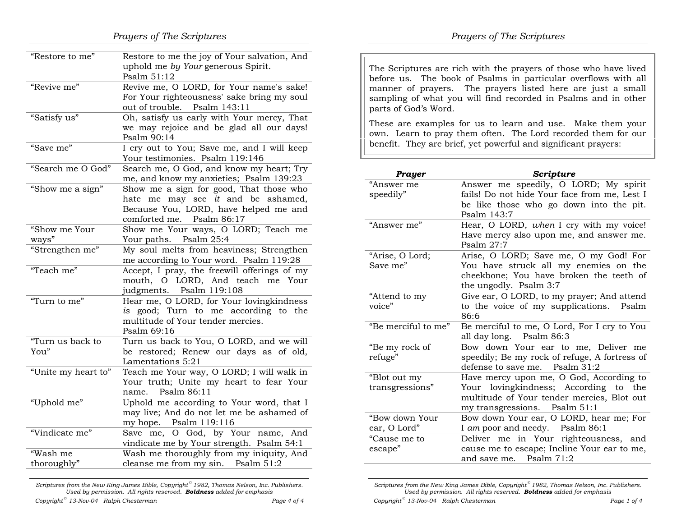| "Restore to me"          | Restore to me the joy of Your salvation, And<br>uphold me by Your generous Spirit.<br>Psalm 51:12                                                   |
|--------------------------|-----------------------------------------------------------------------------------------------------------------------------------------------------|
| "Revive me"              | Revive me, O LORD, for Your name's sake!<br>For Your righteousness' sake bring my soul<br>Psalm 143:11<br>out of trouble.                           |
| "Satisfy us"             | Oh, satisfy us early with Your mercy, That<br>we may rejoice and be glad all our days!<br>Psalm 90:14                                               |
| "Save me"                | I cry out to You; Save me, and I will keep<br>Your testimonies. Psalm 119:146                                                                       |
| "Search me O God"        | Search me, O God, and know my heart; Try<br>me, and know my anxieties; Psalm 139:23                                                                 |
| "Show me a sign"         | Show me a sign for good, That those who<br>hate me may see it and be ashamed,<br>Because You, LORD, have helped me and<br>comforted me. Psalm 86:17 |
| "Show me Your            | Show me Your ways, O LORD; Teach me                                                                                                                 |
| ways"                    | Psalm 25:4<br>Your paths.                                                                                                                           |
| "Strengthen me"          | My soul melts from heaviness; Strengthen<br>me according to Your word. Psalm 119:28                                                                 |
| "Teach me"               | Accept, I pray, the freewill offerings of my<br>O LORD, And teach<br>mouth,<br>me Your<br>judgments. Psalm 119:108                                  |
| "Turn to me"             | Hear me, O LORD, for Your lovingkindness<br>is good; Turn to me according to the<br>multitude of Your tender mercies.<br>Psalm 69:16                |
| "Turn us back to<br>You" | Turn us back to You, O LORD, and we will<br>be restored; Renew our days as of old,<br>Lamentations 5:21                                             |
| "Unite my heart to"      | Teach me Your way, O LORD; I will walk in<br>Your truth; Unite my heart to fear Your<br>Psalm 86:11<br>name.                                        |
| "Uphold me"              | Uphold me according to Your word, that I<br>may live; And do not let me be ashamed of<br>my hope. Psalm 119:116                                     |
| "Vindicate me"           | O God, by Your<br>Save me,<br>name, And<br>vindicate me by Your strength. Psalm 54:1                                                                |
| "Wash me                 | Wash me thoroughly from my iniquity, And                                                                                                            |
| thoroughly"              | cleanse me from my sin. Psalm 51:2                                                                                                                  |
|                          |                                                                                                                                                     |

Scriptures from the New King James Bible, Copyright<sup>®</sup> 1982, Thomas Nelson, Inc. Publishers. Used by permission. All rights reserved. **Boldness** added for emphasis

| "Attend to my<br>voice"         | Give ear, O LORD, to my prayer; And attend<br>to the voice of my supplications. Psalm<br>86:6                                                                   |
|---------------------------------|-----------------------------------------------------------------------------------------------------------------------------------------------------------------|
| "Be merciful to me"             | Be merciful to me, O Lord, For I cry to You<br>all day long. Psalm 86:3                                                                                         |
| "Be my rock of<br>refuge"       | Bow down Your ear to me, Deliver me<br>speedily; Be my rock of refuge, A fortress of<br>defense to save me. Psalm $31:2$                                        |
| "Blot out my<br>transgressions" | Have mercy upon me, O God, According to<br>Your lovingkindness; According to the<br>multitude of Your tender mercies, Blot out<br>my transgressions. Psalm 51:1 |
| "Bow down Your<br>ear, O Lord"  | Bow down Your ear, O LORD, hear me; For<br>I am poor and needy. Psalm 86:1                                                                                      |

"Cause me to escape" Deliver me in Your righteousness, and cause me to escape; Incline Your ear to me, and save me. Psalm 71:2

Scriptures from the New King James Bible, Copyright  $\degree$  1982, Thomas Nelson, Inc. Publishers. Used by permission. All rights reserved. **Boldness** added for emphasis

The Scriptures are rich with the prayers of those who have lived before us. The book of Psalms in particular overflows with all manner of prayers. The prayers listed here are just a small sampling of what you will find recorded in Psalms and in other

These are examples for us to learn and use. Make them your own. Learn to pray them often. The Lord recorded them for our benefit. They are brief, yet powerful and significant prayers:

"Answer me" Hear, O LORD, when I cry with my voice!

the ungodly. Psalm 3:7

Answer me speedily, O LORD; My spirit

 fails! Do not hide Your face from me, Lest I be like those who go down into the pit.

Have mercy also upon me, and answer me.

Arise, O LORD; Save me, O my God! For

 You have struck all my enemies on the cheekbone; You have broken the teeth of

Prayer Scripture

Psalm 143:7

Psalm 27:7

parts of God's Word.

"Answer me speedily"

"Arise, O Lord; Save me"